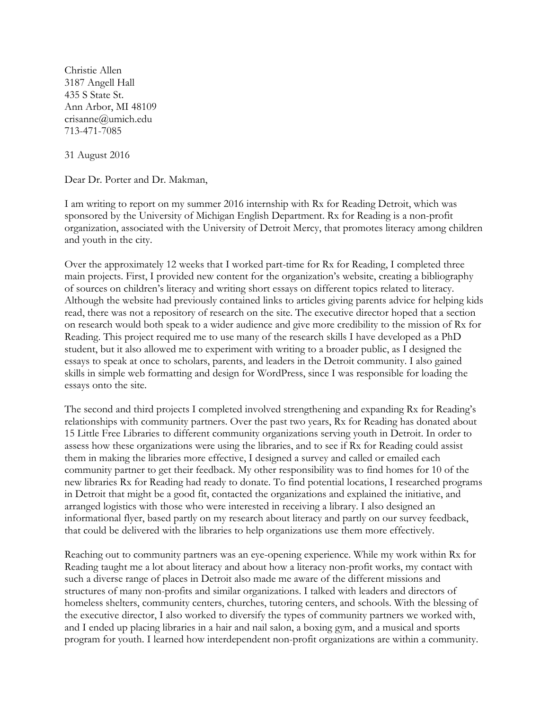Christie Allen 3187 Angell Hall 435 S State St. Ann Arbor, MI 48109 crisanne@umich.edu 713-471-7085

31 August 2016

Dear Dr. Porter and Dr. Makman,

I am writing to report on my summer 2016 internship with Rx for Reading Detroit, which was sponsored by the University of Michigan English Department. Rx for Reading is a non-profit organization, associated with the University of Detroit Mercy, that promotes literacy among children and youth in the city.

Over the approximately 12 weeks that I worked part-time for Rx for Reading, I completed three main projects. First, I provided new content for the organization's website, creating a bibliography of sources on children's literacy and writing short essays on different topics related to literacy. Although the website had previously contained links to articles giving parents advice for helping kids read, there was not a repository of research on the site. The executive director hoped that a section on research would both speak to a wider audience and give more credibility to the mission of Rx for Reading. This project required me to use many of the research skills I have developed as a PhD student, but it also allowed me to experiment with writing to a broader public, as I designed the essays to speak at once to scholars, parents, and leaders in the Detroit community. I also gained skills in simple web formatting and design for WordPress, since I was responsible for loading the essays onto the site.

The second and third projects I completed involved strengthening and expanding Rx for Reading's relationships with community partners. Over the past two years, Rx for Reading has donated about 15 Little Free Libraries to different community organizations serving youth in Detroit. In order to assess how these organizations were using the libraries, and to see if Rx for Reading could assist them in making the libraries more effective, I designed a survey and called or emailed each community partner to get their feedback. My other responsibility was to find homes for 10 of the new libraries Rx for Reading had ready to donate. To find potential locations, I researched programs in Detroit that might be a good fit, contacted the organizations and explained the initiative, and arranged logistics with those who were interested in receiving a library. I also designed an informational flyer, based partly on my research about literacy and partly on our survey feedback, that could be delivered with the libraries to help organizations use them more effectively.

Reaching out to community partners was an eye-opening experience. While my work within Rx for Reading taught me a lot about literacy and about how a literacy non-profit works, my contact with such a diverse range of places in Detroit also made me aware of the different missions and structures of many non-profits and similar organizations. I talked with leaders and directors of homeless shelters, community centers, churches, tutoring centers, and schools. With the blessing of the executive director, I also worked to diversify the types of community partners we worked with, and I ended up placing libraries in a hair and nail salon, a boxing gym, and a musical and sports program for youth. I learned how interdependent non-profit organizations are within a community.